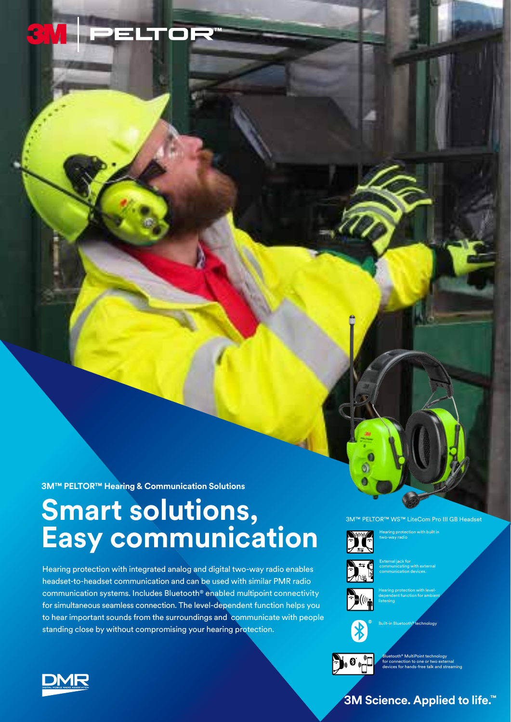

**3M™ PELTOR™ Hearing & Communication Solutions**

## **Smart solutions, Easy communication**

Hearing protection with integrated analog and digital two-way radio enables headset-to-headset communication and can be used with similar PMR radio communication systems. Includes Bluetooth® enabled multipoint connectivity for simultaneous seamless connection. The level-dependent function helps you to hear important sounds from the surroundings and communicate with people standing close by without compromising your hearing protection.

#### 3M™ PELTOR™ WS™ LiteCom Pro III GB Headset Hearing protection with built in



two-way radio



communicating with external communication devices.



Hearing protection with leveldependent function for ambient listening



 $\sum_{i=1}^{n} \Theta_{i}$ 

Bluetooth® MultiPoint technology for connection to one or two external devices for hands-free talk and streaming



### **3M Science. Applied to life.™**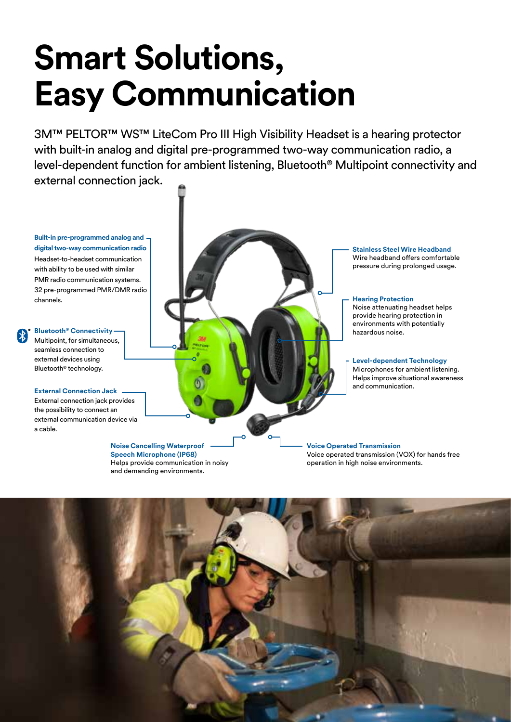# **Smart Solutions, Easy Communication**

3M™ PELTOR™ WS™ LiteCom Pro III High Visibility Headset is a hearing protector with built-in analog and digital pre-programmed two-way communication radio, a level-dependent function for ambient listening, Bluetooth® Multipoint connectivity and external connection jack.

**Built-in pre-programmed analog and digital two-way communication radio** 

Headset-to-headset communication with ability to be used with similar PMR radio communication systems. 32 pre-programmed PMR/DMR radio channels.

**Bluetooth® Connectivity** Multipoint, for simultaneous,

seamless connection to external devices using Bluetooth® technology.

**External Connection Jack**

External connection jack provides the possibility to connect an external communication device via a cable.

#### **Noise Cancelling Waterproof Speech Microphone (IP68)**

Helps provide communication in noisy and demanding environments.

**Stainless Steel Wire Headband** Wire headband offers comfortable pressure during prolonged usage.

**Hearing Protection**

Noise attenuating headset helps provide hearing protection in environments with potentially hazardous noise.

#### **Level-dependent Technology**

Microphones for ambient listening. Helps improve situational awareness and communication.

**Voice Operated Transmission**  Voice operated transmission (VOX) for hands free operation in high noise environments.

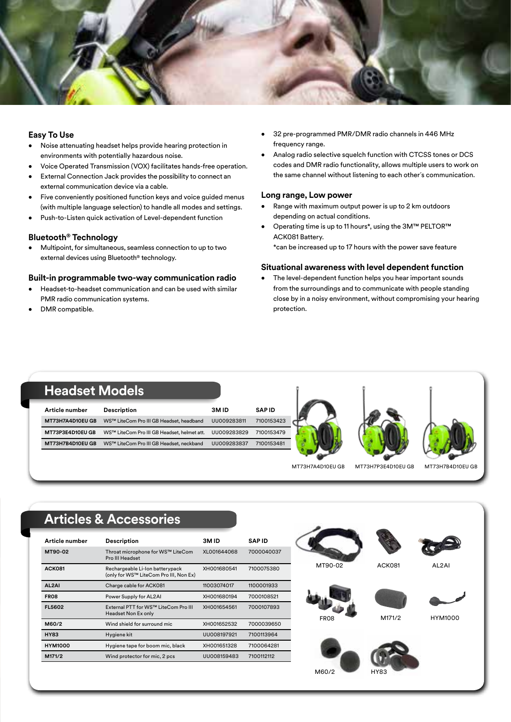

#### **Easy To Use**

- Noise attenuating headset helps provide hearing protection in environments with potentially hazardous noise.
- Voice Operated Transmission (VOX) facilitates hands-free operation.
- External Connection Jack provides the possibility to connect an external communication device via a cable.
- Five conveniently positioned function keys and voice guided menus (with multiple language selection) to handle all modes and settings.
- Push-to-Listen quick activation of Level-dependent function

#### **Bluetooth® Technology**

• Multipoint, for simultaneous, seamless connection to up to two external devices using Bluetooth® technology.

#### **Built-in programmable two-way communication radio**

- Headset-to-headset communication and can be used with similar PMR radio communication systems.
- DMR compatible.
- 32 pre-programmed PMR/DMR radio channels in 446 MHz frequency range.
- Analog radio selective squelch function with CTCSS tones or DCS codes and DMR radio functionality, allows multiple users to work on the same channel without listening to each other´s communication.

#### **Long range, Low power**

- Range with maximum output power is up to 2 km outdoors depending on actual conditions.
- Operating time is up to 11 hours\*, using the 3M™ PELTOR™ ACK081 Battery.

\*can be increased up to 17 hours with the power save feature

#### **Situational awareness with level dependent function**

• The level-dependent function helps you hear important sounds from the surroundings and to communicate with people standing close by in a noisy environment, without compromising your hearing protection.



## **Articles & Accessories**

| Article number   | <b>Description</b>                                                        | 3MID        | <b>SAPID</b> |
|------------------|---------------------------------------------------------------------------|-------------|--------------|
| MT90-02          | Throat microphone for WS™ LiteCom<br>Pro III Headset                      | XL001644068 | 7000040037   |
| <b>ACK081</b>    | Rechargeable Li-Ion batterypack<br>(only for WS™ LiteCom Pro III, Non Ex) | XH001680541 | 7100075380   |
| AL2AI            | Charge cable for ACK081                                                   | 11003074017 | 1100001933   |
| FRO <sub>8</sub> | Power Supply for AL2AI                                                    | XH001680194 | 7000108521   |
| <b>FL5602</b>    | External PTT for WS™ LiteCom Pro III<br>Headset Non Ex only               | XH001654561 | 7000107893   |
| M60/2            | Wind shield for surround mic                                              | XH001652532 | 7000039650   |
| <b>HY83</b>      | Hygiene kit                                                               | UU008197921 | 7100113964   |
| <b>HYM1000</b>   | Hygiene tape for boom mic, black                                          | XH001651328 | 7100064281   |
| M171/2           | Wind protector for mic, 2 pcs                                             | UU008159483 | 7100112112   |

M60/2

HY83